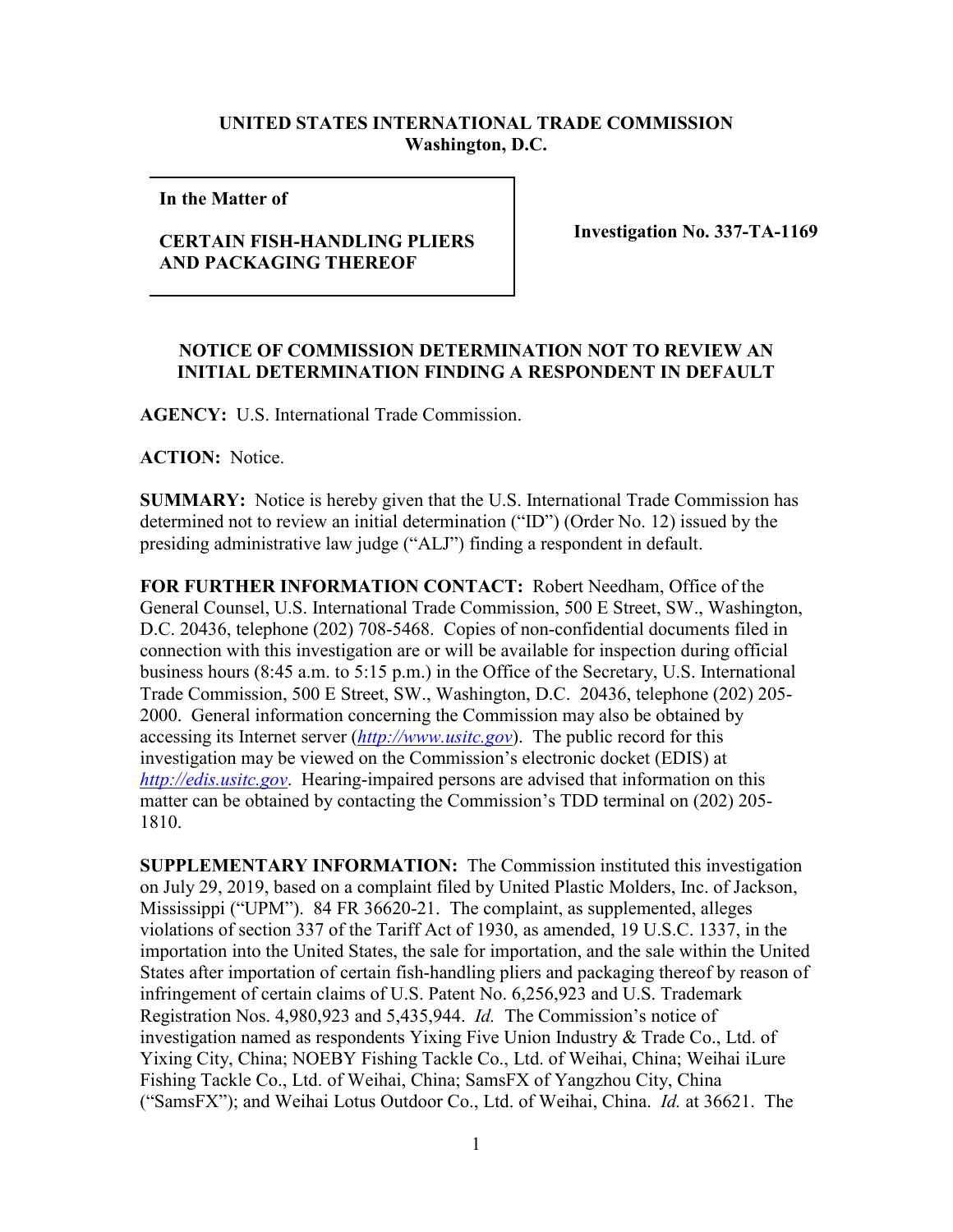## **UNITED STATES INTERNATIONAL TRADE COMMISSION Washington, D.C.**

**In the Matter of** 

## **CERTAIN FISH-HANDLING PLIERS AND PACKAGING THEREOF**

**Investigation No. 337-TA-1169**

## **NOTICE OF COMMISSION DETERMINATION NOT TO REVIEW AN INITIAL DETERMINATION FINDING A RESPONDENT IN DEFAULT**

**AGENCY:** U.S. International Trade Commission.

**ACTION:** Notice.

**SUMMARY:** Notice is hereby given that the U.S. International Trade Commission has determined not to review an initial determination ("ID") (Order No. 12) issued by the presiding administrative law judge ("ALJ") finding a respondent in default.

**FOR FURTHER INFORMATION CONTACT:** Robert Needham, Office of the General Counsel, U.S. International Trade Commission, 500 E Street, SW., Washington, D.C. 20436, telephone (202) 708-5468. Copies of non-confidential documents filed in connection with this investigation are or will be available for inspection during official business hours (8:45 a.m. to 5:15 p.m.) in the Office of the Secretary, U.S. International Trade Commission, 500 E Street, SW., Washington, D.C. 20436, telephone (202) 205- 2000. General information concerning the Commission may also be obtained by accessing its Internet server (*[http://www.usitc.gov](http://www.usitc.gov/)*). The public record for this investigation may be viewed on the Commission's electronic docket (EDIS) at *[http://edis.usitc.gov](http://edis.usitc.gov/)*. Hearing-impaired persons are advised that information on this matter can be obtained by contacting the Commission's TDD terminal on (202) 205- 1810.

**SUPPLEMENTARY INFORMATION:** The Commission instituted this investigation on July 29, 2019, based on a complaint filed by United Plastic Molders, Inc. of Jackson, Mississippi ("UPM"). 84 FR 36620-21. The complaint, as supplemented, alleges violations of section 337 of the Tariff Act of 1930, as amended, 19 U.S.C. 1337, in the importation into the United States, the sale for importation, and the sale within the United States after importation of certain fish-handling pliers and packaging thereof by reason of infringement of certain claims of U.S. Patent No. 6,256,923 and U.S. Trademark Registration Nos. 4,980,923 and 5,435,944. *Id.* The Commission's notice of investigation named as respondents Yixing Five Union Industry & Trade Co., Ltd. of Yixing City, China; NOEBY Fishing Tackle Co., Ltd. of Weihai, China; Weihai iLure Fishing Tackle Co., Ltd. of Weihai, China; SamsFX of Yangzhou City, China ("SamsFX"); and Weihai Lotus Outdoor Co., Ltd. of Weihai, China. *Id.* at 36621. The